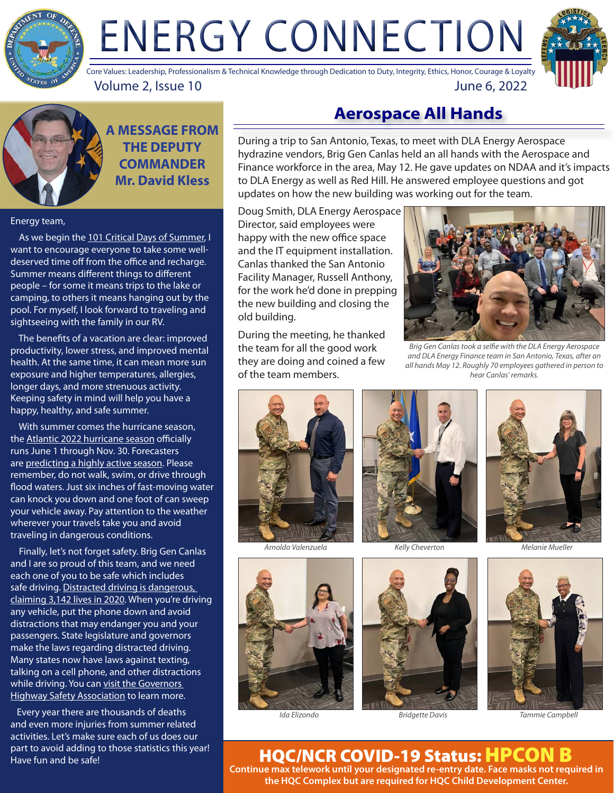

# ENERGY CONNECTION



Volume 2, Issue 10 June 6, 2022 Core Values: Leadership, Professionalism & Technical Knowledge through Dedication to Duty, Integrity, Ethics, Honor, Courage & Loyalty



**A MESSAGE FROM THE DEPUTY COMMANDER Mr. David Kless**

#### Energy team,

As we begin the [101 Critical Days of Summer,](https://www.nationalguard.mil/News/Article-View/Article/574476/101-critical-days-of-summer-kicks-off-season-of-safety/#:~:text=To%20combat%20these%20staggering%20statistics,have%20an%20injury%2Dfree%20summer) I want to encourage everyone to take some welldeserved time off from the office and recharge. Summer means different things to different people – for some it means trips to the lake or camping, to others it means hanging out by the pool. For myself, I look forward to traveling and sightseeing with the family in our RV.

 The benefits of a vacation are clear: improved productivity, lower stress, and improved mental health. At the same time, it can mean more sun exposure and higher temperatures, allergies, longer days, and more strenuous activity. Keeping safety in mind will help you have a happy, healthy, and safe summer.

 With summer comes the hurricane season, the [Atlantic 2022 hurricane season](https://www.noaa.gov/news-release/noaa-predicts-above-normal-2022-atlantic-hurricane-season) officially runs June 1 through Nov. 30. Forecasters are [predicting a highly active season.](https://www.nj.com/weather/2022/05/hurricane-season-predictions-2022-noaa-forecasters-call-for-active-atlantic-storm-season.html) Please remember, do not walk, swim, or drive through flood waters. Just six inches of fast-moving water can knock you down and one foot of can sweep your vehicle away. Pay attention to the weather wherever your travels take you and avoid traveling in dangerous conditions.

 Finally, let's not forget safety. Brig Gen Canlas and I are so proud of this team, and we need each one of you to be safe which includes safe driving. Distracted driving is dangerous, [claiming 3,142 lives in 2020](https://www.nhtsa.gov/risky-driving/distracted-driving). When you're driving any vehicle, put the phone down and avoid distractions that may endanger you and your passengers. State legislature and governors make the laws regarding distracted driving. Many states now have laws against texting, talking on a cell phone, and other distractions while driving. You can [visit the Governors](https://www.ghsa.org/state-laws/issues/distracted driving)  [Highway Safety Association](https://www.ghsa.org/state-laws/issues/distracted driving) to learn more.

 Every year there are thousands of deaths and even more injuries from summer related activities. Let's make sure each of us does our part to avoid adding to those statistics this year! Have fun and be safe!

## **Aerospace All Hands**

During a trip to San Antonio, Texas, to meet with DLA Energy Aerospace hydrazine vendors, Brig Gen Canlas held an all hands with the Aerospace and Finance workforce in the area, May 12. He gave updates on NDAA and it's impacts to DLA Energy as well as Red Hill. He answered employee questions and got updates on how the [new building](https://www.dla.mil/AboutDLA/News/NewsArticleView/Article/2898544/new-facility-provides-dla-energy-aerospace-and-finance-employees-safer-healthie/) was working out for the team.

Doug Smith, DLA Energy Aerospace Director, said employees were happy with the new office space and the IT equipment installation. Canlas thanked the San Antonio Facility Manager, Russell Anthony, for the work he'd done in prepping the new building and closing the old building.

During the meeting, he thanked the team for all the good work they are doing and coined a few of the team members.



*Brig Gen Canlas took a selfie with the DLA Energy Aerospace and DLA Energy Finance team in San Antonio, Texas, after an all hands May 12. Roughly 70 employees gathered in person to hear Canlas' remarks.*



*Arnoldo Valenzuela Kelly Cheverton Melanie Mueller*











*Ida Elizondo Bridgette Davis Tammie Campbell*

HQC/NCR COVID-19 Status: HPCON B **Continue max telework until your designated re-entry date. Face masks not required in the HQC Complex but are required for HQC Child Development Center.**